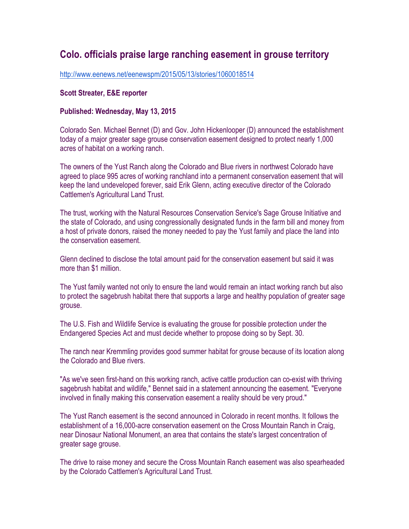## **Colo. officials praise large ranching easement in grouse territory**

http://www.eenews.net/eenewspm/2015/05/13/stories/1060018514

## **Scott Streater, E&E reporter**

## **Published: Wednesday, May 13, 2015**

Colorado Sen. Michael Bennet (D) and Gov. John Hickenlooper (D) announced the establishment today of a major greater sage grouse conservation easement designed to protect nearly 1,000 acres of habitat on a working ranch.

The owners of the Yust Ranch along the Colorado and Blue rivers in northwest Colorado have agreed to place 995 acres of working ranchland into a permanent conservation easement that will keep the land undeveloped forever, said Erik Glenn, acting executive director of the Colorado Cattlemen's Agricultural Land Trust.

The trust, working with the Natural Resources Conservation Service's Sage Grouse Initiative and the state of Colorado, and using congressionally designated funds in the farm bill and money from a host of private donors, raised the money needed to pay the Yust family and place the land into the conservation easement.

Glenn declined to disclose the total amount paid for the conservation easement but said it was more than \$1 million.

The Yust family wanted not only to ensure the land would remain an intact working ranch but also to protect the sagebrush habitat there that supports a large and healthy population of greater sage grouse.

The U.S. Fish and Wildlife Service is evaluating the grouse for possible protection under the Endangered Species Act and must decide whether to propose doing so by Sept. 30.

The ranch near Kremmling provides good summer habitat for grouse because of its location along the Colorado and Blue rivers.

"As we've seen first-hand on this working ranch, active cattle production can co-exist with thriving sagebrush habitat and wildlife," Bennet said in a statement announcing the easement. "Everyone involved in finally making this conservation easement a reality should be very proud."

The Yust Ranch easement is the second announced in Colorado in recent months. It follows the establishment of a 16,000-acre conservation easement on the Cross Mountain Ranch in Craig, near Dinosaur National Monument, an area that contains the state's largest concentration of greater sage grouse.

The drive to raise money and secure the Cross Mountain Ranch easement was also spearheaded by the Colorado Cattlemen's Agricultural Land Trust.